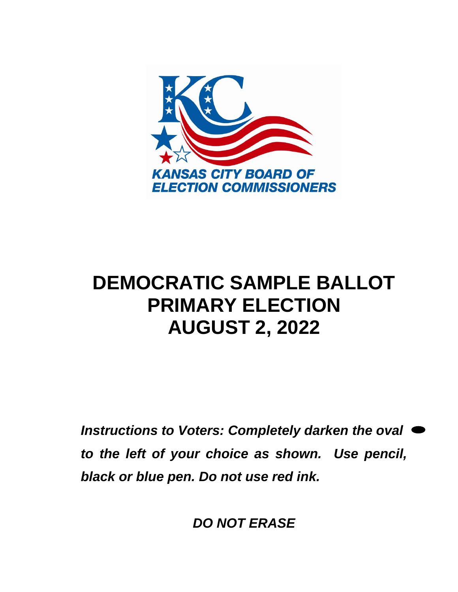

# **DEMOCRATIC SAMPLE BALLOT PRIMARY ELECTION AUGUST 2, 2022**

*Instructions to Voters: Completely darken the oval to the left of your choice as shown. Use pencil, black or blue pen. Do not use red ink.* 

*DO NOT ERASE*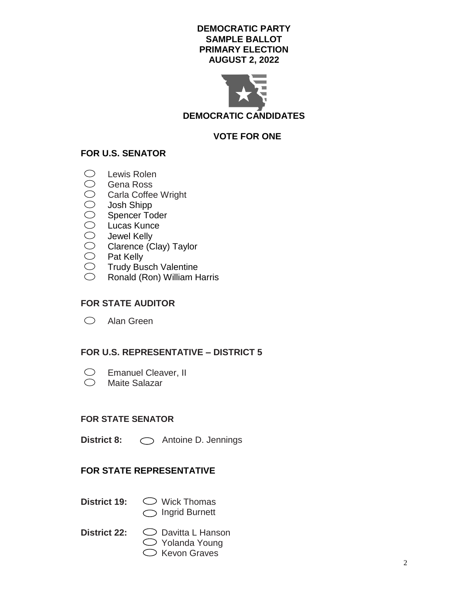### **DEMOCRATIC PARTY SAMPLE BALLOT PRIMARY ELECTION AUGUST 2, 2022**



**VOTE FOR ONE**

# **FOR U.S. SENATOR**

- Lewis Rolen
- $\bigcirc$ Gena Ross
- Carla Coffee Wright
- Josh Shipp
- 0000000 Spencer Toder
- Lucas Kunce
- Jewel Kelly
- Clarence (Clay) Taylor
- $\bigcirc$ Pat Kelly
- $\bigcirc$ Trudy Busch Valentine
- $\bigcirc$ Ronald (Ron) William Harris

### **FOR STATE AUDITOR**

Alan Green

# **FOR U.S. REPRESENTATIVE – DISTRICT 5**

- Emanuel Cleaver, II  $\bigcirc$
- $\bigcirc$ Maite Salazar

### **FOR STATE SENATOR**

**District 8:**  $\bigcirc$  Antoine D. Jennings

# **FOR STATE REPRESENTATIVE**

- 
- **District 19:**  $\bigcirc$  Wick Thomas ◯ Ingrid Burnett
- 
- **District 22:** Davitta L Hanson  $\bigcirc$  Yolanda Young  $\bigcirc$  Kevon Graves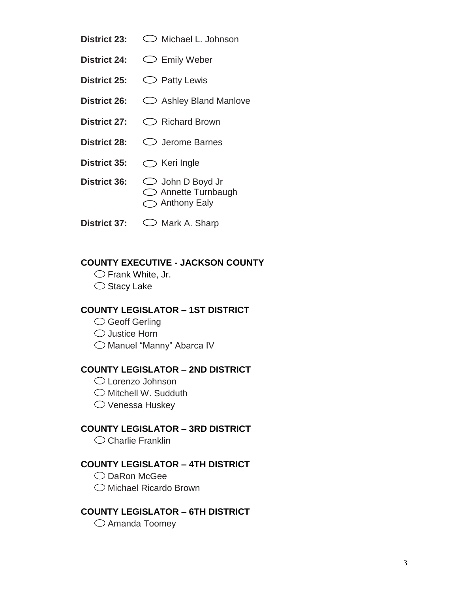- District 23:  $\bigcirc$  Michael L. Johnson
- District 24:  $\bigcirc$  Emily Weber
- **District 25:**  $\bigcirc$  **Patty Lewis**
- District 26:  $\bigcirc$  Ashley Bland Manlove
- District 27:  $\bigcirc$  Richard Brown
- District 28:  $\bigcirc$  Jerome Barnes
- District 35:  $\bigcirc$  Keri Ingle
- **District 36:** John D Boyd Jr  $\bigcirc$  Annette Turnbaugh ◯ Anthony Ealy
- **District 37:**  $\bigcirc$  Mark A. Sharp

### **COUNTY EXECUTIVE - JACKSON COUNTY**

 $\bigcirc$  Frank White, Jr.

 $\bigcirc$  Stacy Lake

# **COUNTY LEGISLATOR – 1ST DISTRICT**

- Geoff Gerling
- $\bigcirc$  Justice Horn
- Manuel "Manny" Abarca IV

### **COUNTY LEGISLATOR – 2ND DISTRICT**

- Lorenzo Johnson
- $\bigcirc$  Mitchell W. Sudduth
- $\bigcirc$  Venessa Huskey

# **COUNTY LEGISLATOR – 3RD DISTRICT**

 $\bigcirc$  Charlie Franklin

### **COUNTY LEGISLATOR – 4TH DISTRICT**

- $\bigcirc$  DaRon McGee
- Michael Ricardo Brown

### **COUNTY LEGISLATOR – 6TH DISTRICT**

 $\bigcirc$  Amanda Toomey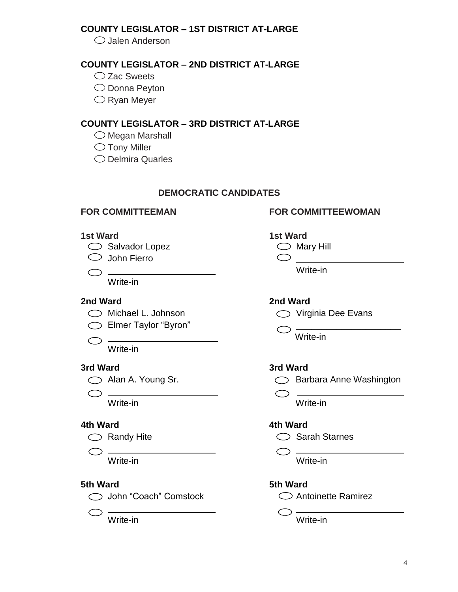# **COUNTY LEGISLATOR – 1ST DISTRICT AT-LARGE**

 $\bigcirc$  Jalen Anderson

# **COUNTY LEGISLATOR – 2ND DISTRICT AT-LARGE**

- $\bigcirc$  Zac Sweets
- O Donna Peyton
- $\bigcirc$  Ryan Meyer

# **COUNTY LEGISLATOR – 3RD DISTRICT AT-LARGE**

- $\bigcirc$  Megan Marshall
- $\bigcirc$  Tony Miller
- $\bigcirc$  Delmira Quarles

# **DEMOCRATIC CANDIDATES**

- $\bigcirc$  Salvador Lopez  $\bigcirc$  Mary Hill
- $\bigcirc$  John Fierro

 $\bigcirc$   $\longrightarrow$ 

Write-in

# **2nd Ward 2nd Ward**

- 
- $\bigcirc$  Elmer Taylor "Byron"  $\bigcirc$
- $\bigcirc$  -Write-in

# **3rd Ward 3rd Ward**

 $\bigcirc$   $\longrightarrow$ 

# **4th Ward 4th Ward**

- 
- $\bigcirc$

# **5th Ward 5th Ward**

John "Coach" Comstock Antoinette Ramirez

$$
\bigcirc \frac{}{\text{Write-in}}
$$

# **FOR COMMITTEEMAN FOR COMMITTEEWOMAN**





Write-in



Write-in



 $\circ$  . Write-in Write-in

 $\bigcirc$  Randy Hite  $\bigcirc$  Sarah Starnes

 $\bigcirc$  . Write-in Write-in

 $\bigcirc$  -Write-in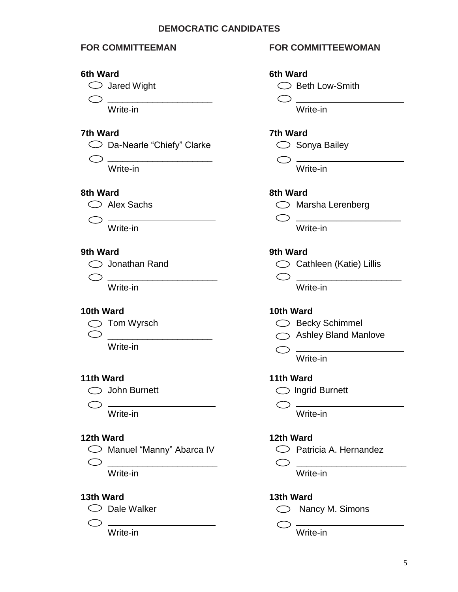### **DEMOCRATIC CANDIDATES**

### **6th Ward 6th Ward**

\_\_\_\_\_\_\_\_\_\_\_\_\_\_\_\_\_\_\_\_\_

### **7th Ward 7th Ward**

 $\bigcirc$  Da-Nearle "Chiefy" Clarke  $\bigcirc$  Sonya Bailey

\_\_\_\_\_\_\_\_\_\_\_\_\_\_\_\_\_\_\_\_\_

### **8th Ward 8th Ward**



### **9th Ward 9th Ward**

Write-in Write-in

- -

Write-in

 $\bigcirc$ 

### **12th Ward 12th Ward**

- $\bigcirc$  Manuel "Manny" Abarca IV  $\bigcirc$  Patricia A. Hernandez
- \_\_\_\_\_\_\_\_\_\_\_\_\_\_\_\_\_\_\_\_\_\_ \_\_\_\_\_\_\_\_\_\_\_\_\_\_\_\_\_\_\_\_\_\_

$$
\bigcirc
$$

### **FOR COMMITTEEMAN FOR COMMITTEEWOMAN**

 $\bigcirc$  Jared Wight  $\bigcirc$  Beth Low-Smith

 $\begin{array}{ccc}\n\circ & \circ & \circ & \circ\n\end{array}$ Write-in Write-in

 $\bigcirc$  -Write-in Write-in

Alex Sachs Marsha Lerenberg

 $\bigcirc$ Write-in Write-in

C Jonathan Rand C Cathleen (Katie) Lillis<br>
C Cathleen (Katie) Lillis

 $\bigcirc$   $\hspace{0.1cm}$   $\hspace{0.1cm}$   $\hspace{0.1cm}$   $\hspace{0.1cm}$   $\hspace{0.1cm}$   $\hspace{0.1cm}$   $\hspace{0.1cm}$   $\hspace{0.1cm}$   $\hspace{0.1cm}$   $\hspace{0.1cm}$   $\hspace{0.1cm}$   $\hspace{0.1cm}$   $\hspace{0.1cm}$   $\hspace{0.1cm}$   $\hspace{0.1cm}$   $\hspace{0.1cm}$   $\hspace{0.1cm}$   $\hspace{0.1cm}$ 

### **10th Ward 10th Ward**

- $\bigcirc$  Tom Wyrsch  $\bigcirc$  Becky Schimmel
- ◯ Ashley Bland Manlove

 $\bigcirc$  -Write-in

### **11th Ward 11th Ward**

John Burnett Ingrid Burnett

 $\bigcirc$ Write-in Write-in

Write-in Write-in

### **13th Ward 13th Ward**

◯ Dale Walker  $\bigcirc$  Nancy M. Simons

 $\overline{\text{Write-in}}$   $\overline{\text{Write-in}}$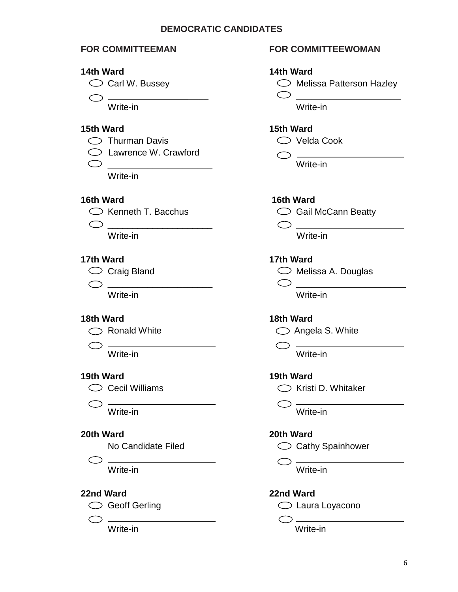### **DEMOCRATIC CANDIDATES**

### **14th Ward 14th Ward**

 $\bigcirc$   $\frac{1}{\text{Write-in}}$   $\bigcirc$   $\frac{1}{\text{Write-in}}$ 

### **15th Ward 15th Ward**

- ◯ Thurman Davis  $\bigcirc$  Velda Cook
- Lawrence W. Crawford
- $\bigcirc$

Write-in

### **16th Ward 16th Ward**

- 
- \_\_\_\_\_\_\_\_\_\_\_\_\_\_\_\_\_\_\_\_\_ ————————————————————<br>Write-in Write-in

### **17th Ward 17th Ward**

- 
- \_\_\_\_\_\_\_\_\_\_\_\_\_\_\_\_\_\_\_\_\_ \_\_\_\_\_\_\_\_\_\_\_\_\_\_\_\_\_\_\_\_\_\_

 $\bigcirc$   $-$ 



 $\bigcirc$   $\frac{1}{\text{Write-in}}$   $\bigcirc$   $\frac{1}{\text{Write-in}}$ 

### **20th Ward 20th Ward**

$$
\bigcirc
$$

### **22nd Ward 22nd Ward**



 $\bigcirc$  .

### **FOR COMMITTEEMAN FOR COMMITTEEWOMAN**



Write-in

 $\overline{\bigcirc}$ 



 $\circlearrowright$  Craig Bland  $\circlearrowright$  Melissa A. Douglas

Write-in Write-in

### **18th Ward 18th Ward**

 $\bigcirc$  Ronald White  $\bigcirc$  Angela S. White

 $\bigcirc$  — Write-in Write-in

### **19th Ward 19th Ward**

 $\bigcirc$  Cecil Williams  $\bigcirc$  Kristi D. Whitaker

No Candidate Filed Cathy Spainhower

 $\bigcirc$  . Write-in Write-in

◯ Geoff Gerling and Collection Collection Collection Collection Collection Collection Collection Collection Collection Collection Collection Collection Collection Collection Collection Collection Collection Collection Col

 $\overline{\bigcirc}$ Write-in Write-in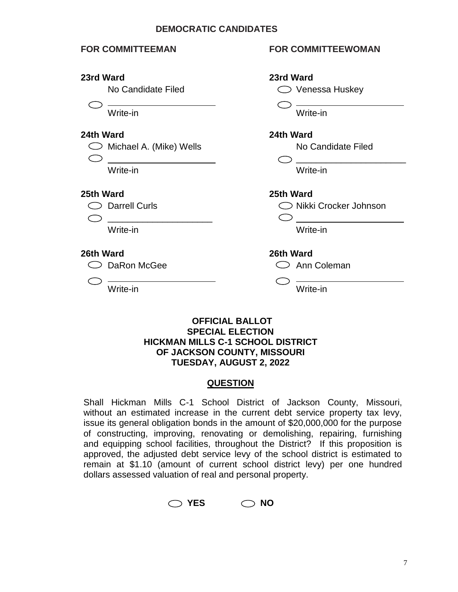### **DEMOCRATIC CANDIDATES**

### **23rd Ward 23rd Ward**

 $\subset$ 

 $\bigcirc$ 

\_\_\_\_\_\_\_\_\_\_\_\_\_\_\_\_\_\_\_\_\_

 $\bigcirc$  DaRon McGee  $\bigcirc$  Ann Coleman

### **FOR COMMITTEEMAN FOR COMMITTEEWOMAN**



Write-in Write-in

### **OFFICIAL BALLOT SPECIAL ELECTION HICKMAN MILLS C-1 SCHOOL DISTRICT OF JACKSON COUNTY, MISSOURI TUESDAY, AUGUST 2, 2022**

### **QUESTION**

Shall Hickman Mills C-1 School District of Jackson County, Missouri, without an estimated increase in the current debt service property tax levy, issue its general obligation bonds in the amount of \$20,000,000 for the purpose of constructing, improving, renovating or demolishing, repairing, furnishing and equipping school facilities, throughout the District? If this proposition is approved, the adjusted debt service levy of the school district is estimated to remain at \$1.10 (amount of current school district levy) per one hundred dollars assessed valuation of real and personal property.

 $\bigcirc$  YES  $\bigcirc$  NO